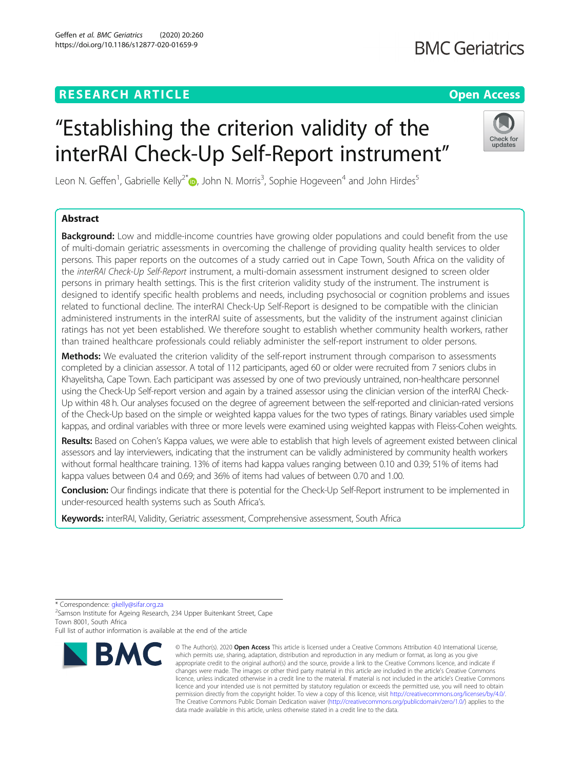# **RESEARCH ARTICLE Example 2014 12:30 The Contract of Contract ACCESS**

# **BMC Geriatrics**

# "Establishing the criterion validity of the interRAI Check-Up Self-Report instrument"



Leon N. Geffen<sup>1</sup>, Gabrielle Kelly<sup>2[\\*](http://orcid.org/0000-0001-9240-3955)</sup>®, John N. Morris<sup>3</sup>, Sophie Hogeveen<sup>4</sup> and John Hirdes<sup>5</sup>

# Abstract

**Background:** Low and middle-income countries have growing older populations and could benefit from the use of multi-domain geriatric assessments in overcoming the challenge of providing quality health services to older persons. This paper reports on the outcomes of a study carried out in Cape Town, South Africa on the validity of the interRAI Check-Up Self-Report instrument, a multi-domain assessment instrument designed to screen older persons in primary health settings. This is the first criterion validity study of the instrument. The instrument is designed to identify specific health problems and needs, including psychosocial or cognition problems and issues related to functional decline. The interRAI Check-Up Self-Report is designed to be compatible with the clinician administered instruments in the interRAI suite of assessments, but the validity of the instrument against clinician ratings has not yet been established. We therefore sought to establish whether community health workers, rather than trained healthcare professionals could reliably administer the self-report instrument to older persons.

Methods: We evaluated the criterion validity of the self-report instrument through comparison to assessments completed by a clinician assessor. A total of 112 participants, aged 60 or older were recruited from 7 seniors clubs in Khayelitsha, Cape Town. Each participant was assessed by one of two previously untrained, non-healthcare personnel using the Check-Up Self-report version and again by a trained assessor using the clinician version of the interRAI Check-Up within 48 h. Our analyses focused on the degree of agreement between the self-reported and clinician-rated versions of the Check-Up based on the simple or weighted kappa values for the two types of ratings. Binary variables used simple kappas, and ordinal variables with three or more levels were examined using weighted kappas with Fleiss-Cohen weights.

Results: Based on Cohen's Kappa values, we were able to establish that high levels of agreement existed between clinical assessors and lay interviewers, indicating that the instrument can be validly administered by community health workers without formal healthcare training. 13% of items had kappa values ranging between 0.10 and 0.39; 51% of items had kappa values between 0.4 and 0.69; and 36% of items had values of between 0.70 and 1.00.

**Conclusion:** Our findings indicate that there is potential for the Check-Up Self-Report instrument to be implemented in under-resourced health systems such as South Africa's.

Keywords: interRAI, Validity, Geriatric assessment, Comprehensive assessment, South Africa

\* Correspondence: [gkelly@sifar.org.za](mailto:gkelly@sifar.org.za) <sup>2</sup>

<sup>2</sup>Samson Institute for Ageing Research, 234 Upper Buitenkant Street, Cape Town 8001, South Africa

Full list of author information is available at the end of the article



<sup>©</sup> The Author(s), 2020 **Open Access** This article is licensed under a Creative Commons Attribution 4.0 International License, which permits use, sharing, adaptation, distribution and reproduction in any medium or format, as long as you give appropriate credit to the original author(s) and the source, provide a link to the Creative Commons licence, and indicate if changes were made. The images or other third party material in this article are included in the article's Creative Commons licence, unless indicated otherwise in a credit line to the material. If material is not included in the article's Creative Commons licence and your intended use is not permitted by statutory regulation or exceeds the permitted use, you will need to obtain permission directly from the copyright holder. To view a copy of this licence, visit [http://creativecommons.org/licenses/by/4.0/.](http://creativecommons.org/licenses/by/4.0/) The Creative Commons Public Domain Dedication waiver [\(http://creativecommons.org/publicdomain/zero/1.0/](http://creativecommons.org/publicdomain/zero/1.0/)) applies to the data made available in this article, unless otherwise stated in a credit line to the data.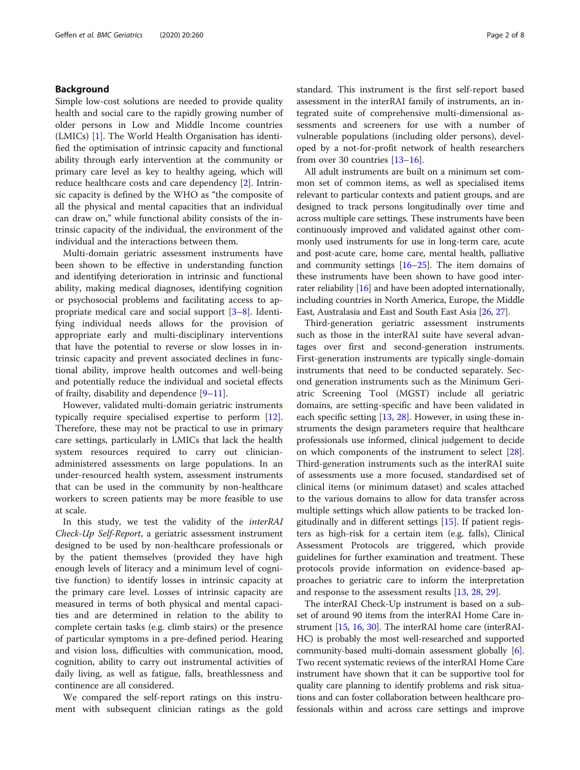# Background

Simple low-cost solutions are needed to provide quality health and social care to the rapidly growing number of older persons in Low and Middle Income countries (LMICs) [[1\]](#page-6-0). The World Health Organisation has identified the optimisation of intrinsic capacity and functional ability through early intervention at the community or primary care level as key to healthy ageing, which will reduce healthcare costs and care dependency [[2\]](#page-6-0). Intrinsic capacity is defined by the WHO as "the composite of all the physical and mental capacities that an individual can draw on," while functional ability consists of the intrinsic capacity of the individual, the environment of the individual and the interactions between them.

Multi-domain geriatric assessment instruments have been shown to be effective in understanding function and identifying deterioration in intrinsic and functional ability, making medical diagnoses, identifying cognition or psychosocial problems and facilitating access to appropriate medical care and social support [\[3](#page-6-0)–[8\]](#page-6-0). Identifying individual needs allows for the provision of appropriate early and multi-disciplinary interventions that have the potential to reverse or slow losses in intrinsic capacity and prevent associated declines in functional ability, improve health outcomes and well-being and potentially reduce the individual and societal effects of frailty, disability and dependence  $[9-11]$  $[9-11]$  $[9-11]$ .

However, validated multi-domain geriatric instruments typically require specialised expertise to perform [\[12](#page-6-0)]. Therefore, these may not be practical to use in primary care settings, particularly in LMICs that lack the health system resources required to carry out clinicianadministered assessments on large populations. In an under-resourced health system, assessment instruments that can be used in the community by non-healthcare workers to screen patients may be more feasible to use at scale.

In this study, we test the validity of the interRAI Check-Up Self-Report, a geriatric assessment instrument designed to be used by non-healthcare professionals or by the patient themselves (provided they have high enough levels of literacy and a minimum level of cognitive function) to identify losses in intrinsic capacity at the primary care level. Losses of intrinsic capacity are measured in terms of both physical and mental capacities and are determined in relation to the ability to complete certain tasks (e.g. climb stairs) or the presence of particular symptoms in a pre-defined period. Hearing and vision loss, difficulties with communication, mood, cognition, ability to carry out instrumental activities of daily living, as well as fatigue, falls, breathlessness and continence are all considered.

We compared the self-report ratings on this instrument with subsequent clinician ratings as the gold standard. This instrument is the first self-report based assessment in the interRAI family of instruments, an integrated suite of comprehensive multi-dimensional assessments and screeners for use with a number of vulnerable populations (including older persons), developed by a not-for-profit network of health researchers from over 30 countries [[13](#page-6-0)–[16](#page-6-0)].

All adult instruments are built on a minimum set common set of common items, as well as specialised items relevant to particular contexts and patient groups, and are designed to track persons longitudinally over time and across multiple care settings. These instruments have been continuously improved and validated against other commonly used instruments for use in long-term care, acute and post-acute care, home care, mental health, palliative and community settings [\[16](#page-6-0)–[25](#page-7-0)]. The item domains of these instruments have been shown to have good interrater reliability [[16](#page-6-0)] and have been adopted internationally, including countries in North America, Europe, the Middle East, Australasia and East and South East Asia [[26,](#page-7-0) [27\]](#page-7-0).

Third-generation geriatric assessment instruments such as those in the interRAI suite have several advantages over first and second-generation instruments. First-generation instruments are typically single-domain instruments that need to be conducted separately. Second generation instruments such as the Minimum Geriatric Screening Tool (MGST) include all geriatric domains, are setting-specific and have been validated in each specific setting [[13](#page-6-0), [28](#page-7-0)]. However, in using these instruments the design parameters require that healthcare professionals use informed, clinical judgement to decide on which components of the instrument to select [\[28](#page-7-0)]. Third-generation instruments such as the interRAI suite of assessments use a more focused, standardised set of clinical items (or minimum dataset) and scales attached to the various domains to allow for data transfer across multiple settings which allow patients to be tracked longitudinally and in different settings [\[15\]](#page-6-0). If patient registers as high-risk for a certain item (e.g. falls), Clinical Assessment Protocols are triggered, which provide guidelines for further examination and treatment. These protocols provide information on evidence-based approaches to geriatric care to inform the interpretation and response to the assessment results [\[13](#page-6-0), [28](#page-7-0), [29\]](#page-7-0).

The interRAI Check-Up instrument is based on a subset of around 90 items from the interRAI Home Care instrument [\[15,](#page-6-0) [16,](#page-6-0) [30\]](#page-7-0). The interRAI home care (interRAI-HC) is probably the most well-researched and supported community-based multi-domain assessment globally [[6](#page-6-0)]. Two recent systematic reviews of the interRAI Home Care instrument have shown that it can be supportive tool for quality care planning to identify problems and risk situations and can foster collaboration between healthcare professionals within and across care settings and improve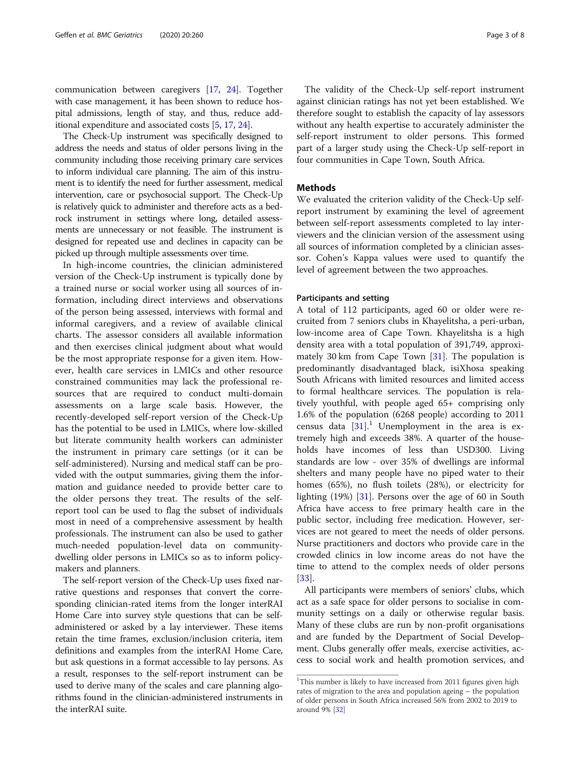communication between caregivers [[17](#page-6-0), [24](#page-6-0)]. Together with case management, it has been shown to reduce hospital admissions, length of stay, and thus, reduce additional expenditure and associated costs [[5](#page-6-0), [17,](#page-6-0) [24](#page-6-0)].

The Check-Up instrument was specifically designed to address the needs and status of older persons living in the community including those receiving primary care services to inform individual care planning. The aim of this instrument is to identify the need for further assessment, medical intervention, care or psychosocial support. The Check-Up is relatively quick to administer and therefore acts as a bedrock instrument in settings where long, detailed assessments are unnecessary or not feasible. The instrument is designed for repeated use and declines in capacity can be picked up through multiple assessments over time.

In high-income countries, the clinician administered version of the Check-Up instrument is typically done by a trained nurse or social worker using all sources of information, including direct interviews and observations of the person being assessed, interviews with formal and informal caregivers, and a review of available clinical charts. The assessor considers all available information and then exercises clinical judgment about what would be the most appropriate response for a given item. However, health care services in LMICs and other resource constrained communities may lack the professional resources that are required to conduct multi-domain assessments on a large scale basis. However, the recently-developed self-report version of the Check-Up has the potential to be used in LMICs, where low-skilled but literate community health workers can administer the instrument in primary care settings (or it can be self-administered). Nursing and medical staff can be provided with the output summaries, giving them the information and guidance needed to provide better care to the older persons they treat. The results of the selfreport tool can be used to flag the subset of individuals most in need of a comprehensive assessment by health professionals. The instrument can also be used to gather much-needed population-level data on communitydwelling older persons in LMICs so as to inform policymakers and planners.

The self-report version of the Check-Up uses fixed narrative questions and responses that convert the corresponding clinician-rated items from the longer interRAI Home Care into survey style questions that can be selfadministered or asked by a lay interviewer. These items retain the time frames, exclusion/inclusion criteria, item definitions and examples from the interRAI Home Care, but ask questions in a format accessible to lay persons. As a result, responses to the self-report instrument can be used to derive many of the scales and care planning algorithms found in the clinician-administered instruments in the interRAI suite.

The validity of the Check-Up self-report instrument against clinician ratings has not yet been established. We therefore sought to establish the capacity of lay assessors without any health expertise to accurately administer the self-report instrument to older persons. This formed part of a larger study using the Check-Up self-report in four communities in Cape Town, South Africa.

# Methods

We evaluated the criterion validity of the Check-Up selfreport instrument by examining the level of agreement between self-report assessments completed to lay interviewers and the clinician version of the assessment using all sources of information completed by a clinician assessor. Cohen's Kappa values were used to quantify the level of agreement between the two approaches.

### Participants and setting

A total of 112 participants, aged 60 or older were recruited from 7 seniors clubs in Khayelitsha, a peri-urban, low-income area of Cape Town. Khayelitsha is a high density area with a total population of 391,749, approximately 30 km from Cape Town [[31](#page-7-0)]. The population is predominantly disadvantaged black, isiXhosa speaking South Africans with limited resources and limited access to formal healthcare services. The population is relatively youthful, with people aged 65+ comprising only 1.6% of the population (6268 people) according to 2011 census data  $[31]$  $[31]$ .<sup>1</sup> Unemployment in the area is extremely high and exceeds 38%. A quarter of the households have incomes of less than USD300. Living standards are low - over 35% of dwellings are informal shelters and many people have no piped water to their homes (65%), no flush toilets (28%), or electricity for lighting (19%) [\[31\]](#page-7-0). Persons over the age of 60 in South Africa have access to free primary health care in the public sector, including free medication. However, services are not geared to meet the needs of older persons. Nurse practitioners and doctors who provide care in the crowded clinics in low income areas do not have the time to attend to the complex needs of older persons [[33\]](#page-7-0).

All participants were members of seniors' clubs, which act as a safe space for older persons to socialise in community settings on a daily or otherwise regular basis. Many of these clubs are run by non-profit organisations and are funded by the Department of Social Development. Clubs generally offer meals, exercise activities, access to social work and health promotion services, and

<sup>&</sup>lt;sup>1</sup>This number is likely to have increased from 2011 figures given high rates of migration to the area and population ageing – the population of older persons in South Africa increased 56% from 2002 to 2019 to around 9% [[32](#page-7-0)]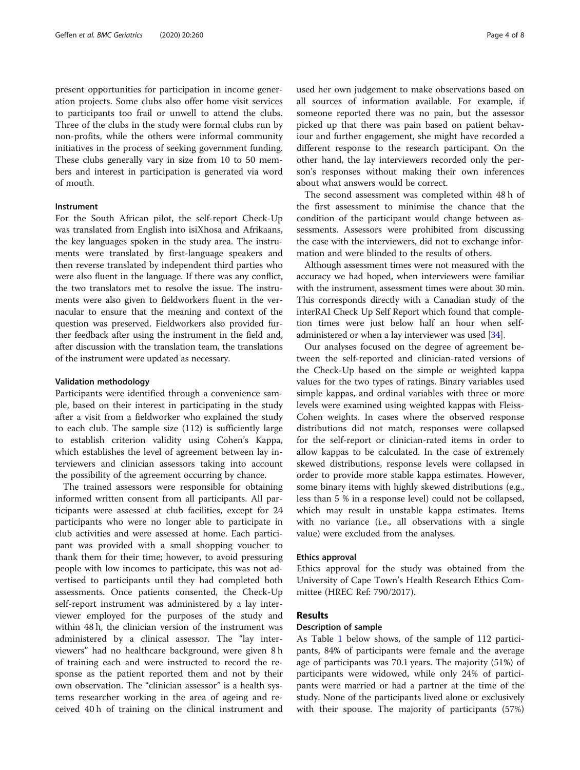present opportunities for participation in income generation projects. Some clubs also offer home visit services to participants too frail or unwell to attend the clubs. Three of the clubs in the study were formal clubs run by non-profits, while the others were informal community initiatives in the process of seeking government funding. These clubs generally vary in size from 10 to 50 members and interest in participation is generated via word of mouth.

# Instrument

For the South African pilot, the self-report Check-Up was translated from English into isiXhosa and Afrikaans, the key languages spoken in the study area. The instruments were translated by first-language speakers and then reverse translated by independent third parties who were also fluent in the language. If there was any conflict, the two translators met to resolve the issue. The instruments were also given to fieldworkers fluent in the vernacular to ensure that the meaning and context of the question was preserved. Fieldworkers also provided further feedback after using the instrument in the field and, after discussion with the translation team, the translations of the instrument were updated as necessary.

#### Validation methodology

Participants were identified through a convenience sample, based on their interest in participating in the study after a visit from a fieldworker who explained the study to each club. The sample size (112) is sufficiently large to establish criterion validity using Cohen's Kappa, which establishes the level of agreement between lay interviewers and clinician assessors taking into account the possibility of the agreement occurring by chance.

The trained assessors were responsible for obtaining informed written consent from all participants. All participants were assessed at club facilities, except for 24 participants who were no longer able to participate in club activities and were assessed at home. Each participant was provided with a small shopping voucher to thank them for their time; however, to avoid pressuring people with low incomes to participate, this was not advertised to participants until they had completed both assessments. Once patients consented, the Check-Up self-report instrument was administered by a lay interviewer employed for the purposes of the study and within 48 h, the clinician version of the instrument was administered by a clinical assessor. The "lay interviewers" had no healthcare background, were given 8 h of training each and were instructed to record the response as the patient reported them and not by their own observation. The "clinician assessor" is a health systems researcher working in the area of ageing and received 40 h of training on the clinical instrument and

used her own judgement to make observations based on all sources of information available. For example, if someone reported there was no pain, but the assessor picked up that there was pain based on patient behaviour and further engagement, she might have recorded a different response to the research participant. On the other hand, the lay interviewers recorded only the person's responses without making their own inferences about what answers would be correct.

The second assessment was completed within 48 h of the first assessment to minimise the chance that the condition of the participant would change between assessments. Assessors were prohibited from discussing the case with the interviewers, did not to exchange information and were blinded to the results of others.

Although assessment times were not measured with the accuracy we had hoped, when interviewers were familiar with the instrument, assessment times were about 30 min. This corresponds directly with a Canadian study of the interRAI Check Up Self Report which found that completion times were just below half an hour when selfadministered or when a lay interviewer was used [\[34\]](#page-7-0).

Our analyses focused on the degree of agreement between the self-reported and clinician-rated versions of the Check-Up based on the simple or weighted kappa values for the two types of ratings. Binary variables used simple kappas, and ordinal variables with three or more levels were examined using weighted kappas with Fleiss-Cohen weights. In cases where the observed response distributions did not match, responses were collapsed for the self-report or clinician-rated items in order to allow kappas to be calculated. In the case of extremely skewed distributions, response levels were collapsed in order to provide more stable kappa estimates. However, some binary items with highly skewed distributions (e.g., less than 5 % in a response level) could not be collapsed, which may result in unstable kappa estimates. Items with no variance (i.e., all observations with a single value) were excluded from the analyses.

### Ethics approval

Ethics approval for the study was obtained from the University of Cape Town's Health Research Ethics Committee (HREC Ref: 790/2017).

# Results

#### Description of sample

As Table [1](#page-4-0) below shows, of the sample of 112 participants, 84% of participants were female and the average age of participants was 70.1 years. The majority (51%) of participants were widowed, while only 24% of participants were married or had a partner at the time of the study. None of the participants lived alone or exclusively with their spouse. The majority of participants (57%)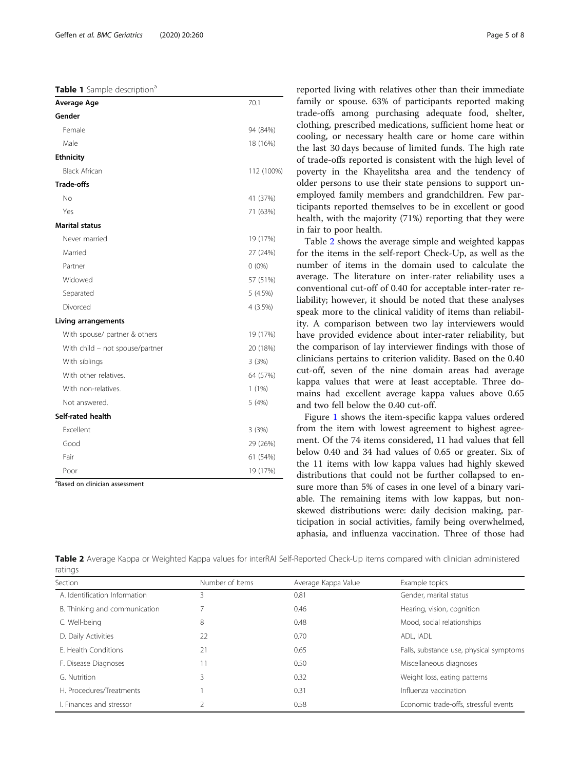<span id="page-4-0"></span>

|  |  | Table 1 Sample description <sup>a</sup> |
|--|--|-----------------------------------------|
|--|--|-----------------------------------------|

| Average Age                     | 70.1       |
|---------------------------------|------------|
| Gender                          |            |
| Female                          | 94 (84%)   |
| Male                            | 18 (16%)   |
| <b>Ethnicity</b>                |            |
| <b>Black African</b>            | 112 (100%) |
| <b>Trade-offs</b>               |            |
| No                              | 41 (37%)   |
| Yes                             | 71 (63%)   |
| <b>Marital status</b>           |            |
| Never married                   | 19 (17%)   |
| Married                         | 27 (24%)   |
| Partner                         | $0(0\%)$   |
| Widowed                         | 57 (51%)   |
| Separated                       | 5 (4.5%)   |
| Divorced                        | 4 (3.5%)   |
| Living arrangements             |            |
| With spouse/ partner & others   | 19 (17%)   |
| With child - not spouse/partner | 20 (18%)   |
| With siblings                   | 3(3%)      |
| With other relatives.           | 64 (57%)   |
| With non-relatives.             | 1(1%)      |
| Not answered.                   | 5(4%)      |
| Self-rated health               |            |
| <b>Fxcellent</b>                | 3(3%)      |
| Good                            | 29 (26%)   |
| Fair                            | 61 (54%)   |
| Poor                            | 19 (17%)   |

<sup>a</sup>Based on clinician assessment

reported living with relatives other than their immediate family or spouse. 63% of participants reported making trade-offs among purchasing adequate food, shelter, clothing, prescribed medications, sufficient home heat or cooling, or necessary health care or home care within the last 30 days because of limited funds. The high rate of trade-offs reported is consistent with the high level of poverty in the Khayelitsha area and the tendency of older persons to use their state pensions to support unemployed family members and grandchildren. Few participants reported themselves to be in excellent or good health, with the majority (71%) reporting that they were in fair to poor health.

Table 2 shows the average simple and weighted kappas for the items in the self-report Check-Up, as well as the number of items in the domain used to calculate the average. The literature on inter-rater reliability uses a conventional cut-off of 0.40 for acceptable inter-rater reliability; however, it should be noted that these analyses speak more to the clinical validity of items than reliability. A comparison between two lay interviewers would have provided evidence about inter-rater reliability, but the comparison of lay interviewer findings with those of clinicians pertains to criterion validity. Based on the 0.40 cut-off, seven of the nine domain areas had average kappa values that were at least acceptable. Three domains had excellent average kappa values above 0.65 and two fell below the 0.40 cut-off.

Figure [1](#page-5-0) shows the item-specific kappa values ordered from the item with lowest agreement to highest agreement. Of the 74 items considered, 11 had values that fell below 0.40 and 34 had values of 0.65 or greater. Six of the 11 items with low kappa values had highly skewed distributions that could not be further collapsed to ensure more than 5% of cases in one level of a binary variable. The remaining items with low kappas, but nonskewed distributions were: daily decision making, participation in social activities, family being overwhelmed, aphasia, and influenza vaccination. Three of those had

Table 2 Average Kappa or Weighted Kappa values for interRAI Self-Reported Check-Up items compared with clinician administered ratings

| Section                       | Number of Items | Average Kappa Value | Example topics                          |
|-------------------------------|-----------------|---------------------|-----------------------------------------|
| A. Identification Information |                 | 0.81                | Gender, marital status                  |
| B. Thinking and communication |                 | 0.46                | Hearing, vision, cognition              |
| C. Well-being                 | 8               | 0.48                | Mood, social relationships              |
| D. Daily Activities           | 22              | 0.70                | ADL, IADL                               |
| F. Health Conditions          | 21              | 0.65                | Falls, substance use, physical symptoms |
| F. Disease Diagnoses          | 11              | 0.50                | Miscellaneous diagnoses                 |
| G. Nutrition                  | 3               | 0.32                | Weight loss, eating patterns            |
| H. Procedures/Treatments      |                 | 0.31                | Influenza vaccination                   |
| I. Finances and stressor      |                 | 0.58                | Economic trade-offs, stressful events   |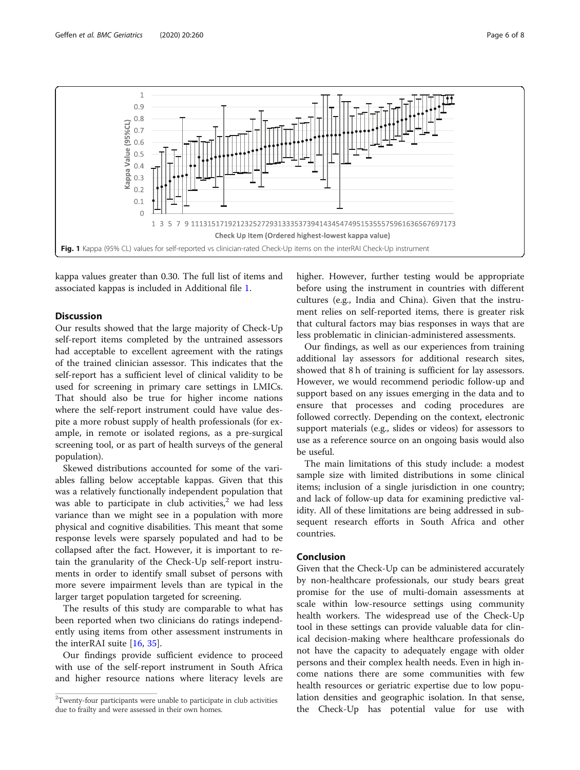<span id="page-5-0"></span>

kappa values greater than 0.30. The full list of items and associated kappas is included in Additional file [1](#page-6-0).

# **Discussion**

Our results showed that the large majority of Check-Up self-report items completed by the untrained assessors had acceptable to excellent agreement with the ratings of the trained clinician assessor. This indicates that the self-report has a sufficient level of clinical validity to be used for screening in primary care settings in LMICs. That should also be true for higher income nations where the self-report instrument could have value despite a more robust supply of health professionals (for example, in remote or isolated regions, as a pre-surgical screening tool, or as part of health surveys of the general population).

Skewed distributions accounted for some of the variables falling below acceptable kappas. Given that this was a relatively functionally independent population that was able to participate in club activities, $2$  we had less variance than we might see in a population with more physical and cognitive disabilities. This meant that some response levels were sparsely populated and had to be collapsed after the fact. However, it is important to retain the granularity of the Check-Up self-report instruments in order to identify small subset of persons with more severe impairment levels than are typical in the larger target population targeted for screening.

The results of this study are comparable to what has been reported when two clinicians do ratings independently using items from other assessment instruments in the interRAI suite [\[16](#page-6-0), [35](#page-7-0)].

Our findings provide sufficient evidence to proceed with use of the self-report instrument in South Africa and higher resource nations where literacy levels are higher. However, further testing would be appropriate before using the instrument in countries with different cultures (e.g., India and China). Given that the instrument relies on self-reported items, there is greater risk that cultural factors may bias responses in ways that are less problematic in clinician-administered assessments.

Our findings, as well as our experiences from training additional lay assessors for additional research sites, showed that 8 h of training is sufficient for lay assessors. However, we would recommend periodic follow-up and support based on any issues emerging in the data and to ensure that processes and coding procedures are followed correctly. Depending on the context, electronic support materials (e.g., slides or videos) for assessors to use as a reference source on an ongoing basis would also be useful.

The main limitations of this study include: a modest sample size with limited distributions in some clinical items; inclusion of a single jurisdiction in one country; and lack of follow-up data for examining predictive validity. All of these limitations are being addressed in subsequent research efforts in South Africa and other countries.

### Conclusion

Given that the Check-Up can be administered accurately by non-healthcare professionals, our study bears great promise for the use of multi-domain assessments at scale within low-resource settings using community health workers. The widespread use of the Check-Up tool in these settings can provide valuable data for clinical decision-making where healthcare professionals do not have the capacity to adequately engage with older persons and their complex health needs. Even in high income nations there are some communities with few health resources or geriatric expertise due to low population densities and geographic isolation. In that sense, the Check-Up has potential value for use with

 $\rm{^{2}T}$ wenty-four participants were unable to participate in club activities due to frailty and were assessed in their own homes.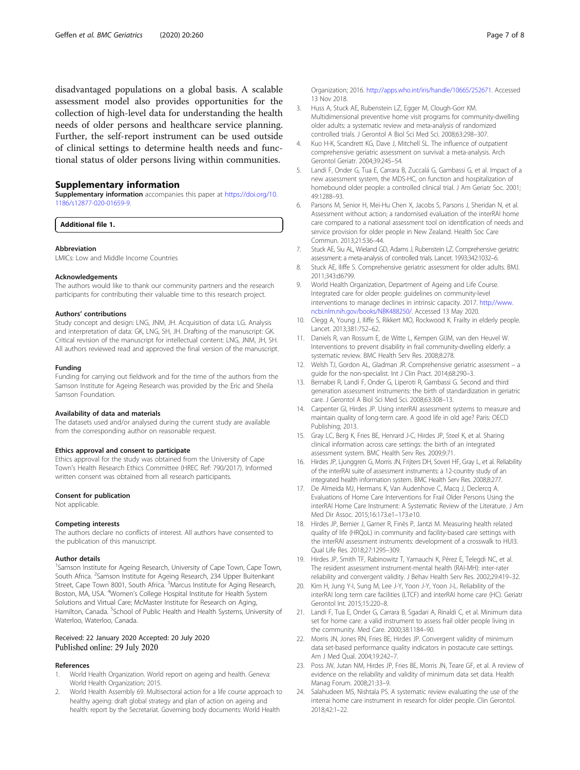<span id="page-6-0"></span>disadvantaged populations on a global basis. A scalable assessment model also provides opportunities for the collection of high-level data for understanding the health needs of older persons and healthcare service planning. Further, the self-report instrument can be used outside of clinical settings to determine health needs and functional status of older persons living within communities.

# Supplementary information

Supplementary information accompanies this paper at [https://doi.org/10.](https://doi.org/10.1186/s12877-020-01659-9) [1186/s12877-020-01659-9](https://doi.org/10.1186/s12877-020-01659-9).

Additional file 1.

#### Abbreviation

LMICs: Low and Middle Income Countries

#### Acknowledgements

The authors would like to thank our community partners and the research participants for contributing their valuable time to this research project.

#### Authors' contributions

Study concept and design: LNG, JNM, JH. Acquisition of data: LG. Analysis and interpretation of data: GK, LNG, SH, JH. Drafting of the manuscript: GK. Critical revision of the manuscript for intellectual content: LNG, JNM, JH, SH. All authors reviewed read and approved the final version of the manuscript.

#### Funding

Funding for carrying out fieldwork and for the time of the authors from the Samson Institute for Ageing Research was provided by the Eric and Sheila Samson Foundation.

#### Availability of data and materials

The datasets used and/or analysed during the current study are available from the corresponding author on reasonable request.

#### Ethics approval and consent to participate

Ethics approval for the study was obtained from the University of Cape Town's Health Research Ethics Committee (HREC Ref: 790/2017). Informed written consent was obtained from all research participants.

#### Consent for publication

Not applicable.

#### Competing interests

The authors declare no conflicts of interest. All authors have consented to the publication of this manuscript.

#### Author details

<sup>1</sup>Samson Institute for Ageing Research, University of Cape Town, Cape Town, South Africa. <sup>2</sup>Samson Institute for Ageing Research, 234 Upper Buitenkant Street, Cape Town 8001, South Africa. <sup>3</sup>Marcus Institute for Aging Research, Boston, MA, USA. <sup>4</sup>Women's College Hospital Institute for Health System Solutions and Virtual Care; McMaster Institute for Research on Aging, Hamilton, Canada. <sup>5</sup>School of Public Health and Health Systems, University of Waterloo, Waterloo, Canada.

#### Received: 22 January 2020 Accepted: 20 July 2020 Published online: 29 July 2020

#### References

- World Health Organization. World report on ageing and health. Geneva: World Health Organization; 2015.
- 2. World Health Assembly 69. Multisectoral action for a life course approach to healthy ageing: draft global strategy and plan of action on ageing and health: report by the Secretariat. Governing body documents: World Health

Organization; 2016. [http://apps.who.int/iris/handle/10665/252671.](http://apps.who.int/iris/handle/10665/252671) Accessed 13 Nov 2018.

- 3. Huss A, Stuck AE, Rubenstein LZ, Egger M, Clough-Gorr KM. Multidimensional preventive home visit programs for community-dwelling older adults: a systematic review and meta-analysis of randomized controlled trials. J Gerontol A Biol Sci Med Sci. 2008;63:298–307.
- 4. Kuo H-K, Scandrett KG, Dave J, Mitchell SL. The influence of outpatient comprehensive geriatric assessment on survival: a meta-analysis. Arch Gerontol Geriatr. 2004;39:245–54.
- 5. Landi F, Onder G, Tua E, Carrara B, Zuccalá G, Gambassi G, et al. Impact of a new assessment system, the MDS-HC, on function and hospitalization of homebound older people: a controlled clinical trial. J Am Geriatr Soc. 2001; 49:1288–93.
- 6. Parsons M, Senior H, Mei-Hu Chen X, Jacobs S, Parsons J, Sheridan N, et al. Assessment without action; a randomised evaluation of the interRAI home care compared to a national assessment tool on identification of needs and service provision for older people in New Zealand. Health Soc Care Commun. 2013;21:536–44.
- 7. Stuck AE, Siu AL, Wieland GD, Adams J, Rubenstein LZ. Comprehensive geriatric assessment: a meta-analysis of controlled trials. Lancet. 1993;342:1032–6.
- 8. Stuck AE, Iliffe S. Comprehensive geriatric assessment for older adults. BMJ. 2011;343:d6799.
- 9. World Health Organization, Department of Ageing and Life Course. Integrated care for older people: guidelines on community-level interventions to manage declines in intrinsic capacity. 2017. [http://www.](http://www.ncbi.nlm.nih.gov/books/NBK488250/) [ncbi.nlm.nih.gov/books/NBK488250/.](http://www.ncbi.nlm.nih.gov/books/NBK488250/) Accessed 13 May 2020.
- 10. Clegg A, Young J, Iliffe S, Rikkert MO, Rockwood K. Frailty in elderly people. Lancet. 2013;381:752–62.
- 11. Daniels R, van Rossum E, de Witte L, Kempen GIJM, van den Heuvel W. Interventions to prevent disability in frail community-dwelling elderly: a systematic review. BMC Health Serv Res. 2008;8:278.
- 12. Welsh TJ, Gordon AL, Gladman JR. Comprehensive geriatric assessment a guide for the non-specialist. Int J Clin Pract. 2014;68:290–3.
- 13. Bernabei R, Landi F, Onder G, Liperoti R, Gambassi G. Second and third generation assessment instruments: the birth of standardization in geriatric care. J Gerontol A Biol Sci Med Sci. 2008;63:308–13.
- 14. Carpenter GI, Hirdes JP. Using interRAI assessment systems to measure and maintain quality of long-term care. A good life in old age? Paris: OECD Publishing; 2013.
- 15. Gray LC, Berg K, Fries BE, Henrard J-C, Hirdes JP, Steel K, et al. Sharing clinical information across care settings: the birth of an integrated assessment system. BMC Health Serv Res. 2009;9:71.
- 16. Hirdes JP, Ljunggren G, Morris JN, Frijters DH, Soveri HF, Gray L, et al. Reliability of the interRAI suite of assessment instruments: a 12-country study of an integrated health information system. BMC Health Serv Res. 2008;8:277.
- 17. De Almeida MJ, Hermans K, Van Audenhove C, Macq J, Declercq A. Evaluations of Home Care Interventions for Frail Older Persons Using the interRAI Home Care Instrument: A Systematic Review of the Literature. J Am Med Dir Assoc. 2015;16:173.e1–173.e10.
- 18. Hirdes JP, Bernier J, Garner R, Finès P, Jantzi M. Measuring health related quality of life (HRQoL) in community and facility-based care settings with the interRAI assessment instruments: development of a crosswalk to HUI3. Qual Life Res. 2018;27:1295–309.
- 19. Hirdes JP, Smith TF, Rabinowitz T, Yamauchi K, Pérez E, Telegdi NC, et al. The resident assessment instrument-mental health (RAI-MH): inter-rater reliability and convergent validity. J Behav Health Serv Res. 2002;29:419–32.
- 20. Kim H, Jung Y-I, Sung M, Lee J-Y, Yoon J-Y, Yoon J-L. Reliability of the interRAI long term care facilities (LTCF) and interRAI home care (HC). Geriatr Gerontol Int. 2015;15:220–8.
- 21. Landi F, Tua E, Onder G, Carrara B, Sgadari A, Rinaldi C, et al. Minimum data set for home care: a valid instrument to assess frail older people living in the community. Med Care. 2000;38:1184–90.
- 22. Morris JN, Jones RN, Fries BE, Hirdes JP. Convergent validity of minimum data set-based performance quality indicators in postacute care settings. Am J Med Qual. 2004;19:242–7.
- 23. Poss JW, Jutan NM, Hirdes JP, Fries BE, Morris JN, Teare GF, et al. A review of evidence on the reliability and validity of minimum data set data. Health Manag Forum. 2008;21:33–9.
- 24. Salahudeen MS, Nishtala PS. A systematic review evaluating the use of the interrai home care instrument in research for older people. Clin Gerontol. 2018;42:1–22.